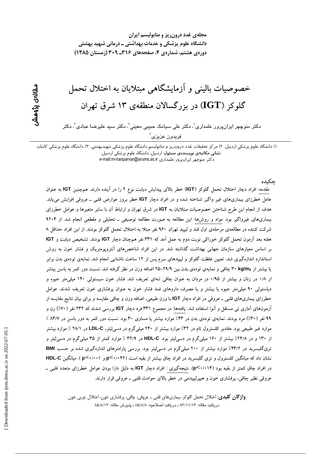مجلهی غدد درون ریز و متابولیسم ایران دانشگاه علوم پزشکی و خدمات بهداشتی ــ درمانی شهید بهشتی دوره ی هشتم، شماره ی ۴، صفحههای ۳۱۶ـ ۳۰۹ (زمستان ۱۳۸۵)

# مقالەي پژوھش

## خصوصیات بالینی و آزمایشگاهی مبتلایان به اختلال تحمل گلوکز (IGT) در بزرگسالان منطقهی ۱۳ شرق تهران

دکتر منوچهر ایرانپرور علمداری'، دکتر علی سیامک حبیبی معینی'، دکتر سید علیرضا عبادی'، دکتر فريدون عزيزي<sup>'</sup>

١) دانشگاه علوم پزشکی اردبیل، ٢) مرکز تحقیقات غدد درون ریز و متابولیسم دانشگاه علوم پزشکی شهیدبهشتی، ٣) دانشگاه علوم پزشکی کاشان، نشانی مکاتبهی نویسندهی مسئول: اردبیل، دانشگاه علوم پزشکی اردبیل، e-mail:m-iranparvar@arums.ac.ir و كتر منوچهر ايرانپرور علمدارى

حكىدە

مقدمه: افراد دچار اختلال تحمل گلوکز (IGT) خطر بالای پیدایش دیابت نوع ۲ را در آینده دارند. همچنین IGT به عنوان عامل خطرزای بیماریهای غیر واگیر شناخته شده و در افراد دچار IGT خطر بروز عوارض قلبی ـ عروقی افزایش می یابد. هدف از انجام این طرح شناختن خصوصیات مبتلایان به IGT در شرق تهران و ارتباط آن با سایر متغیرها و عوامل خطرزای بیماریهای غیرواگیر بود. مواد و روشها: این مطالعه به صورت مطالعه توصیفی ـ تحلیلی و مقطعی انجام شد. از ۹۲۰۴ شرکت کننده در مطالعهی مرحلهی اول قند و لیپید تهران ۹۶۰ نفر مبتلا به اختلال تحمل گلوکز بودند. از این افراد حداقل ۸ هفته بعد آزمون تحمل گلوکز خوراکی نوبت دوم به عمل آمد که ۳۳۱ نفر همچنان دچار IGT بودند. تشخیص دیابت و IGT بر اساس معیارهای سازمان جهانی بهداشت گذاشته شد. در این افراد شاخصهای آنتروپومتریک و فشار خون به روش استاندارد اندازهگیری شد. تعیین غلظت گلوکز و لیپیدهای سرم پس از ۱۲ ساعت ناشتایی انجام شد. نمایهی تودهی بدن برابر یا بیشتر از ۳۰ kg/m2 چاقی و نمایهی تودهی بدن بین ۲۹/۹–۲۵ اضافه وزن در نظر گرفته شد. نسبت دور کمر به باسن بیتشر از ۰/۸ در زنان و بیشتر از ۰/۹۵ در مردان به عنوان چاقی تنهای تعریف شد. فشار خون سیستولی ۱۴۰ میلی متر جیوه و دیاستولی ۹۰ میلی متر جیوه یا بیشتر و یا مصرف داروهای ضد فشار خون به عنوان پرفشاری خون تعریف شدند. عوامل خطرزای بیماریهای قلبی ـ عروقی در افراد دچار IGT با وزن طبیعی، اضافه وزن و چاقی مقایسه و برای بیان نتایج مقایسه از آزمونهای آماری ت<sub>می</sub> مستقل و آنوا استفاده شد. یافتهها: در مجموع ۳۳۱ فرد دچار IGT بررسی شدند که ۲۳۲ نفر (۷۰٪) زن و ۹۹ نفر (۳۰٪) مرد بودند. نمایهی تودهی بدن در ۴۳٪ موارد بیشتر یا مساوی ۳۰ بود. نسبت دور کمر به دور باسن در ۸۳/۷٪ موارد غیر طبیعی بود. مقادیر کلسترول تام در ۳۲٪ موارد بیشتر از ۲۴۰ میلیگرم در دسمیلیتر، LDL-C در ۲۸/۱٪ موارد بیشتر از ۱۳۰ و در ۲۴/۸٪ بیشتر از ۱۶۰ میلیگرم در دسی[یتر بود. HDL-C در ۳۲/۹ ٪ موارد کمتر از ۳۵ میلیگرم در دسی[یتر و تری گلیسرید در ۴۳/۲٪ موارد بیشتر از ۲۰۰ میلی گرم در دسی لیتر بود. بررسی پارامترهای اندازهگیری شده بر حسب BMI نشان داد که میانگین کلسترول و تری گلیسرید در افراد چاق بیشتر از بقیه است (p<۰/۰۴۲ و p<۰/۰۰۱). میانگیز, HDL-C در افراد چاق کمتر از بقیه بود (۱۴/۰۱۴). نتیجهگیری : افراد دچار IGT به دلیل دارا بودن عوامل خطرزای متعدد قلبی ـ عروقی نظیر چاقی، پرفشاری خون و هیپرلیپیدمی در خطر بالای حوادث قلبی ـ عروقی قرار دارند.

**واژ گان کلیدی**: اختلال تحمل گلوکز، بیماریهای قلبی ـ عروقی، چاقی، پرفشاری خون، اختلال چربی خون دريافت مقاله: ٨٣/١١/١٢ ـ دريافت اصلاحيه: ٨٥/٨/٨ ـ يذيرش مقاله: ٨٥/٨/١٣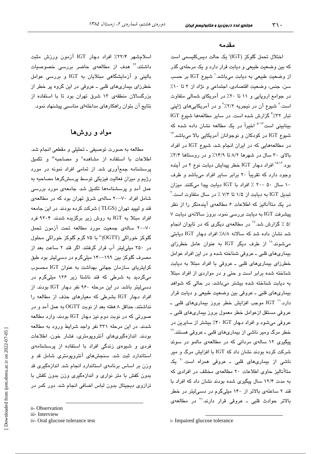مقدمه

اختلال تحمل گلوکز (IGT)<sup>:</sup> یک حالت دیسکلیسمی است که بین وضعیت طبیعی و دیابت قرار دارد و یک مرحلهی گذر از وضعیت طبیعی به دیابت میباشد.<sup>۱</sup> شیوع IGT بر حسب سن، جنس، وضعیت اقتصادی، اجتماعی و نژاد از ۳ تا ۱۰٪ در جوامع اروپایی و ۱۱ تا ۲۰٪ در آمریکای شمالی متفاوت است.<sup>۲</sup> شیوع آن در نیجریه ۲/۲/۲ و در آمریکاییهای ژاپنی تبار ٣٪.٢٢ گزارش شده است. در ساير مطالعهها شيوع IGT بینابینی است<sup>71-۵</sup> اخیراً در یک مطالعه نشان داده شده که شيوع IGT در كودكان و نوجوانان آمريكايي بالا ميباشد." در مطالعههایی که در ایران انجام شد، شیوع IGT در افراد بالای ۳۰ سال در شهرها ۸/۲ تا ۱۴/۹٪ و در روستاها ۳/۴٪ بود.<sup>۱۵،۱۶</sup> افراد دچار IGT خطر پیدایش دیابت نوع ۲ در آینده وجود دارد که تقریباً ۲۰ برابر سایر افراد میباشد و ظرف ١٠ سال ٥٠ -٢٠ ٪ افراد با IGT ديابت پيدا مى كنند. ميزان تبدیل IGT به دیابت از ۱/۵ تا ۷/۳ ٪ در سال متفاوت است.<sup>۲</sup> در یک متاآنالیز که اطلاعات ۶ مطالعهی آیندهنگر را از نظر پیشرفت IGT به دیابت بررسی نمود، بروز سالانهی دیابت ۷ /۵ ٪ گزارش شد.<sup>۱۷</sup> در مطالعهی دیگری که در تایوان انجام شد نشان داده شد که سالانه ۸/۸٪ افراد دچار IGT دیابتی میشوند.<sup>۱۸</sup> از طرف دیگر IGT به عنوان عامل خطرزای بیماریهای قلبی ـ عروقی شناخته شده و در این افراد عوامل خطرزای بیماریهای قلبی ـ عروقی با افراد مبتلا به دیابت شناخته شده برابر است و حتى و در مواردى از افراد مبتلا به دیابت شناخته شده بیشتر میباشد، در حالی که شواهد بيماري هاي قلبي ـ عروقي بين وضعيت طبيعي و ديابت قرار دارد.<sup>\\</sup> IGT موجب افزایش خطر بروز بیماریهای قلبی ـ عروقي مستقل ازعوامل خطر معمول بروز بيماريهاي قلبي ــ عروقی میشود و افراد دچار F۰ IGT" بیشتر از سایرین در خطر مرگ ومیر ناشی از بیماریهای قلبی ـ عروقی هستند." پیگیری ۱۲ سالهی مردانی که در مطالعهی مالمو در سوئد شرکت کرده بودند نشان داد که IGT با افزایش مرگ و میر ناشی از بیماریهای قلبی ـ عروقی همراه است.<sup>۲</sup> یک متاآنالیز حاوی اطلاعات ٢٠ مطالعهی مختلف در افرادی كه به مدت ۱۲/۴ سال پیگیری شده بودند نشان داد که افراد با قند ۲ ساعتهی بالاتر از ۱۴۰ میلیگرم در دسی لیتر در خطر بالاتر حوادث قلبی ــ عروقی قرار دارند.<sup>۲۱</sup> در مطالعهی

اسلامشهر ۲۲/۴٪ افراد دچار IGT آزمون ورزش مثبت داشتند.<sup>۲۲</sup> هدف از مطالعهی حاضر بررس*ی* خصوصیات بالینی و آزمایشگاهی مبتلایان به IGT و بررسی عوامل خطرزای بیماریهای قلبی ـ عروقی در این گروه پر خطر از بزرگسالان منطقهی ١٣ شرق تهران بود تا با استفاده از نتایج آن بتوان راهکارهای مداخلهای مناسبی پیشنهاد نمود.

#### مواد و روشها

مطالعه به صورت توصیفی ـ تحلیلی و مقطعی انجام شد. اطلاعات با استفاده از مشاهده<sup>ة</sup> و مصاحبه<sup>ننا</sup> و تكميل پرسشنامه جمعآوری شد. از تمامی افراد نمونه در مورد رژیم و میزان فعالیت فیزیکی توسط پرسشگرها مصاحبه به عمل آمد و پرسشنامهها تکمیل شد. جامعهی مورد بررسی شامل افراد ۷۰-۲۰ سالهی شرق تهران بود که در مطالعهی قند و لیپید تهران (TLGS ) شرکت کرده بودند. در این جامعه افراد مبتلا به IGT به روش زیر برگزیده شدند. ۹۲۰۴ فرد ٧٠-٢٠ سالهى جمعيت مورد مطالعه تحت آزمون تحمل گلوکز خوراکی (OGTT)" با ۷۵ گرم گلوکز خوراکی محلول در ۲۵۰ میلی لیتر آب قرار گرفتند. اگر قند ۲ ساعت بعد از مصرف گلوکز بین ۱۹۹–۱۴۰ میلیگرم در دسی لیتر بود طبق کرایتریای سازمان جهانی بهداشت به عنوان IGT محسوب میگردید به شرطی که قند ناشتا زیر ۱۲۶ میلیگرم در دسهایتر باشد. در این مرحله ۹۶۰ نفر دچار IGT بودند. از افراد دچار IGT بشرطی که معیارهای حذف از مطالعه را نداشتند، حداقل ۸ هفته بعد از نوبت OGTT به عمل آمد و در صورتی که در نوبت دوم نیز دچار IGT بودند، وارد مطالعه شدند. در این مرحله ۳۳۱ نفر واجد شرایط ورود به مطالعه بودند. اندازهگیریهای آنتروپومتری، فشار خون، اطلاعات فردی و شیوهی زندگی افراد با استفاده از پرسشنامهی استاندارد ثبت شد. سنجشهای آنتروپومتری شامل قد و وزن بر اساس برنامهی استاندارد انجام شد. اندازهگیری قد بدون کفش با متر نواری و اندازهگیری وزن بدون کفش با ترازوی دیجیتال بدون لباس اضافی انجام شد. دور کمر در

ii-Observation

iii- Interview

iv-Oral glucose tolerance test

i- Impaired glucose tolerance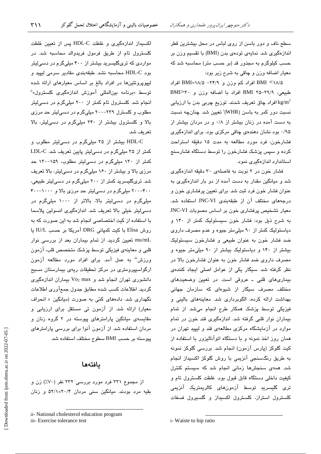سطح ناف و دور باسن از روی لباس در محل بیشترین قطر اندازهگیری شد. نمایهی تودهی بدن (BMI) با تقسیم وزن بر حسب کیلوگرم به مجذور قد (بر حسب متر) محاسبه شد که معيار اضافه وزن و چاقي به شرح زير بود:

BMI <۱۸/۵ افراد کم وزن و ۲۴/۹- BMI=۱۸/۵ افراد طبيعي، ٢٩/٩-٣٥ BMI افراد با اضافه وزن و ٣٠<BMI افراد چاق تعریف شدند. توزیع چربی بدن با ارزیابی kg/m $^2$ نسبت دور کمر به باسن (WHR) تعیین شد. چنانچه نسبت به دست آمده در زنان بیشتر از ۰/۸ و در مردان بیشتر از ۰/۹۵ بود نشان دهندهی چاقی مرکزی بود. برای اندازهگیری فشارخون، فرد مورد مطالعه به مدت ۱۵ دقیقه استراحت کرده و سپس پزشک فشارخون را توسط دستگاه فشارسنج استاندارد اندازهگیری نمود.

فشار خون در ۲ نوبت به فاصلهی ۳۰ دقیقه اندازهگیری شد و میانگین مقدار به دست آمده از دو بار اندازهگیری به عنوان فشار خون فرد ثبت شد. برای تعیین پرفشاری خون و درجههای مختلف آن از طبقهبندی JNC-VI استفاده شد. معیار تشخیص پرفشاری خون بر اساس مصوبات JNC-VI به شرح ذیل بود: فشار خون سیستولیک کمتر از ۱۴۰ و دیاستولیک کمتر از ۹۰ میلی متر جیوه و عدم مصرف داروی ضد فشار خون به عنوان طبیعی و فشارخون سیستولیک بیشتر از ۱۴۰ و دیاستولیک بیشتر از ۹۰ میلی متر جیوه و مصرف داروی ضد فشار خون به عنوان فشارخون بالا در نظر گرفته شد. سیگار یکی از عوامل اصلی ایجاد کنندهی بیماریهای قلبی ـ عروقی است. در تعیین وضعیتهای مختلف مصرف سیگار از شیوهای که سازمان جهانی بهداشت ارائه كرده، الگوبردارى شد. معاينههاى بالينى و فیزیکی توسط پزشک همکار طرح انجام میشد. از تمام بیماران نوار قلبی گرفته شد. اندازهگیری قند خون در تمام موارد در آزمایشگاه مرکزی مطالعهی قند و لیپید تهران در همان روز اخذ نمونه و با دستگاه اتوآنالیزور با استفاده از کیت گلوکز (پارس آزمون) انجام شد. بررسی گلوکز نمونه به طریق رنگسنجی آنزیمی با روش گلوکز اکسیداز انجام شد. همهی سنجشها زمانی انجام شد که سیستم کنترل کیفیت داخلی دستگاه قابل قبول بود. غلظت کلسترول تام و تری گلیسرید توسط آزمونهای کالریمتریک آنزیمی کلسترول استراز، کلسترول اکسیداز و گلسیرول فسفات

اکسیداز اندازهگیری و غلظت HDL-C پس از تعیین غلظت کلسترول تام از طریق فرمول فریدوالد محاسبه شد. در مواردی که تریگلیسرید بیشتر از ۴۰۰ میلیگرم در دسی لیتر بود HDL-C محاسبه نشد. طبقهبندی مقادیر سرمی لیپید و لیپوپروتئینها در افراد بالغ بر اساس معیارهای ارائه شده توسط «برنامه بینالمللی آموزش اندازهگیری کلسترول»<sup>ة</sup> انجام شد. کلسترول تام کمتر از ۲۰۰ میلیگرم در دسیلیتر مطلوب و کلسترل ۲۳۹-۲۰۰ میلیگرم در دسهالیتر حد مرزی بالا و کلسترول بیشتر از ۲۴۰ میلیگرم در دسی لیتر، بالا تعريف شد.

 $\mathsf{r}\setminus\mathsf{r}$ 

HDL-C بیشتر از ۳۵ میلیگرم در دسی لیتر مطلوب و کمتر از ۳۵ میلیگرم در دسیلیتر پایین تعریف شد. LDL-C کمتر از ۱۳۰ میلیگرم در دسی لیتر مطلوب، ۱۵۹–۱۳۰ حد مرزی بالا و بیشتر از ۱۶۰ میلیگرم در دسی لیتر، بالا تعریف شد. تریگلیسرید کمتر از ۲۰۰ میلیگرم در دسی لیتر طبیعی، ۴۰۰--۲۰۰ میلیگرم در دسهالیتر حد مرزی بالا و ۲۰۰۰--۴۰۰ میلیگرم در دسی!پتر بالا، بالاتر از ۱۰۰۰ میلیگرم در دسی لیتر خیلی بالا تعریف شد. اندازهگیری انسولین پلاسما با استفاده از کیت اختصاصی انجام شد به این صورت که به روش Elisa با کیت کمپانی DRG آمریکا بر حسب IU/L یا mu/mL تعیین گردید. از تمام بیماران بعد از بررسی نوار قلبی و معاینهی فیزیکی توسط پزشک متخصص قلب، آزمون ورزش" به عمل آمد. برای افراد مورد مطالعه آزمون ارگواسپیرومتری در مرکز تحقیقات ریهی بیمارستان مسیح دانشوری تهران انجام شد و Vo2 max بیماران اندازهگیری گردید. اطلاعات کسب شده مطابق جدول جمعآوری اطلاعات نگهداری شد. دادههای کمّی به صورت (میانگین ± انحراف معیار) ارائه شد. از آزمون تی مستقل برای ارزیابی و مقایسهی میانگین پارامترهای پیوسته در ۲ گروه زنان و مردان استفاده شد. از آزمون آنوا برای بررسی پارامترهای پيوسته بر حسب BMI سطوح مختلف استفاده شد.

#### بافتهها

از مجموع ۳۳۱ فرد مورد بررسی ۲۳۲ نفر (۷۰٪) زن و بقیه مرد بودند. میانگین سنی مردان ۲۰/۴±۵۲/۱ و زنان

iii- Exercise tolerance test

ii- National cholesterol education program

i-Waiste to hip ratio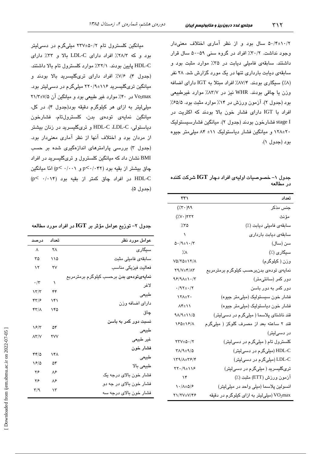۵۰/۴±۱۰/۲ سال بود و از نظر آماری اختلاف معنیدار وجود نداشت. ۳۰/۲٪ افراد در گروه سنی ۵۹–۵۰ سال قرار داشتند. سابقهی فامیلی دیابت در ۳۵٪ موارد مثبت بود و سابقهی دیابت بارداری تنها در یک مورد گزارش شد. ۲۸ نفر (۸٪) سیگاری بودند. ۸۷/۴٪ افراد مبتلا به IGT دارای اضافه وزن یا چاقی بودند. WHR نیز در ۸۳/۷٪ موارد غیرطبیعی بود (جدول ۲). آزمون ورزش در ۱۴٪ موارد مثبت بود. ۶۵/۵٪ افراد با IGT دارای فشار خون بالا بودند که اکثریت در stage I فشارخون بودند (جدول ۲). میانگین فشارسیستولیک ۲۰±۱۲۸ و میانگین فشار دیاستولیک ۱۱± ۸۴ میلی متر جیوه بود (جدول ١).

جدول ۱– خصوصیات اولیهی افراد دچار  ${\rm IGT}$  شرکت کننده در مطالعه

| ۳۳۱                                         | تعداد                                            |
|---------------------------------------------|--------------------------------------------------|
| $(\dot{X}^{\dagger})^{\alpha}$              | جنس مذكر                                         |
| $(\forall \cdot)$ ٢٣٢                       | مؤنث                                             |
| ۲۵٪                                         | سابقەي فاميلى ديابت (٪)                          |
| $\sqrt{2}$                                  | سابقەي ديابت باردارى                             |
| $0.49 \pm 1.7$                              | سن (سال)                                         |
| $\lambda$                                   | سیگاری (٪)                                       |
| $V\Delta/\Upsilon\Delta\pm\Upsilon/\Lambda$ | وزن (كيلوگرم)                                    |
| $Y9/Y \pm Y/AY$                             | نمایەی تودەی بدنبرحسب کیلوگرم برمترمربع          |
| $95/9$ $+1.7$                               | دور کمر (سانتیءتر)                               |
| $\cdot$ /9 $\tau$ + $\cdot$ /7              | دور کمر به دور باسن                              |
| $Y^{\star}$                                 | فشار خون سیستولیک (میلی،متر جیوه)                |
| $\Lambda$ ۴ $\pm$ \ \                       | فشار خون دياستوليک (ميلي متر جيوه)               |
| $9\lambda/9 \pm 11/0$                       | قند ناشتای پلاسما ( میلیگرم در دسیلیتر)          |
| 180±18/1                                    | قند ۲ ساعته بعد از مصرف گلوکز ( میلیگرم          |
|                                             | در دسی!یتر)                                      |
| $\tau\tau v_{\pm\Delta}$ ./ $\tau$          | کلسترول تام ( میلیگرم در دسی <mark>لیتر</mark> ) |
| $Y/\sqrt{4\pm 1/\Delta}$                    | HDL-C (میلیگرم در دسیلیتر)                       |
| 159/1±58/4                                  | LDL-C (میلیگرم در دسیلیتر)                       |
| $YY.4+19$                                   | تریگلیسرید ( میلیگرم در دسیلیتر)                 |
| $\mathcal{N}$                               | آزمون ورزش (ETT) مثبت (٪)                        |
| $\frac{1}{\sqrt{2}}$                        | انسولين پلاسما (ميلي واحد در ميلي ليتر)          |
| 21/7V±V/46                                  | سیلی لیتر به ازای کیلوگرم در دقیقه VO2max        |

میانگین کلسترول تام ۲/۰۵۰±۲۳۷ میلیگرم در دسی لیتر بود و که ۲۸/۳٪ افراد دارای LDL-C بالا و ۳۳٪ دارای HDL-C پایین بودند. ۳۲/۱٪ موارد کلسترول تام بالا داشتند. (جدول ۴). ۷/۶٪ افراد دارای تریگلیسرید بالا بودند و میانگین تریگلیسرید ۱۱۶±۲۰/۹ میلیگرم در دسی لیتر بود. Vo2max در ۴۰٪ موارد غیر طبیعی بود و میانگین آن ۷/۵±۲۱/۳ میلی لیتر به ازای هر کیلوگرم دقیقه بود(جدول ۴). در کل، ميانگين نمايەي تودەي بدن، كلسترولتام، فشارخون دیاستولی، HDL-C ،LDL-C و تریگلیسرید در زنان بیشتر از مردان بود و اختلاف آنها از نظر آماری معنی،دار بود. (جدول ۳) بررسی پارامترهای اندازهگیری شده بر حسب BMI نشان داد که میانگین کلسترول و تریگلیسرید در افراد چاق بیشتر از بقیه بود (p<٠/٠۴٢ و p<٠/٠٠١) امّا میانگین  $(p< \cdot/\cdot \cdot)$ در افراد چاق کمتر از بقیه بود HDL-C (جدول ۵).

جدول ۲– توریع عوامل مؤثر بر  ${\rm IGT}$  در افراد مورد مطالعه

| عوامل مورد نظر                                 | تعداد | درصد                    |
|------------------------------------------------|-------|-------------------------|
| سیگاری                                         | ٢٨    | ٨                       |
| سابقەى فاميلى مثبت                             | ۱۱۵   | ۳۵                      |
| فعاليت فيزيكي مناسب                            | ۲٧    | ۱۲                      |
| <b>نمایەیتودەی بدن</b> برحسب کیلوگرم برمترمربع |       |                         |
| لاغر                                           | ١     | $\cdot/\tau$            |
| طبيعى                                          | ۴۴    | $\gamma \tau/\tau$      |
|                                                | ۱۴۱   | ۴۳۱۶                    |
| داراي اضافه وزن                                |       |                         |
| چاق                                            | ۱۴۵   | <b>۴۳/۸</b>             |
| نسبت دور کمر به باسن                           |       |                         |
| طبيعى                                          | ۵۴    | ۱۶/۳                    |
| غير طبيعي                                      | ۲V۷   | $\lambda$ ۳/V           |
| فشار خون                                       |       |                         |
|                                                | ۱۴۸   | 4410                    |
| طبيعى                                          | ۵۴    |                         |
| طبيعي بالا                                     |       | ۱۶۵                     |
| فشار خون بالای درجه یک                         | ٨۶    | ۲۶                      |
| فشار خون بالای در جه دو                        | ۸۶    | ۲۶                      |
|                                                | ۱۳    | $\mathsf{r}/\mathsf{q}$ |
| فشار خون بالای درجه سه                         |       |                         |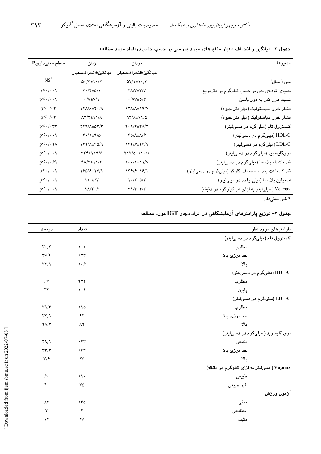| $\mathbf{P}_{\boldsymbol{\mathcal{G}}}$ سطح معنیداری | زنان                                              | مردان                                                               | متغيرها                                           |
|------------------------------------------------------|---------------------------------------------------|---------------------------------------------------------------------|---------------------------------------------------|
|                                                      | ميانگين±انحرافم <b>ع</b> يار                      | ميانگين±انحراف،معيار                                                |                                                   |
| $NS^*$                                               | $\Delta \cdot$ /۴ $\pm$ 1 $\cdot$ /۲              | $\Delta Y/\lambda \pm \lambda \cdot / \zeta$                        | سن ( سال)                                         |
| $p<\cdot/\cdot\cdot\wedge$                           | $\Upsilon \cdot / \Upsilon \pm \Delta / \Upsilon$ | $Y/\Upsilon \pm \Upsilon/V$                                         | نمایهی تودهی بدن بر حسب کیلوگرم بر مترمربع        |
| $p<\cdot/\cdot\cdot\wedge$                           | $\cdot$ /۹ $\pm$ V/1                              | $\cdot$ /9 $V \pm \Delta$ /۴                                        | نسبت دور کمر به دور باسن                          |
| $p<\cdot/\cdot\tau$                                  | $\frac{1}{\sqrt{2}}$                              | 1 Y A / A ± 1 9 / V                                                 | فشار خون سیستولیک (میلی متر جیوه)                 |
| $p<\cdot/\cdot\tau$                                  | $\Lambda$ Y/Y $\pm$ \ \/ $\Lambda$                | $\Lambda f/\Lambda \pm 11/\Delta$                                   | فشار خون دیاستولیک (میلی متر جیوه)                |
| $p<\cdot/\cdot$ ۴۲                                   | $YY9/\lambda \pm \Delta Y/Y$                      | $Y \cdot \mathcal{A}/\mathcal{A} + \mathcal{A}/\mathcal{A}$         | کلسترول تام (میلیگرم در دسیلیتر)                  |
| $p<\cdot/\cdot\cdot\cdot$                            | $f \cdot / \lambda \pm 1/2$                       | $\Upsilon \Delta / \Lambda \pm \Lambda / 8$                         | HDL-C (میلیگرم در دسیلیتر)                        |
| $p<\cdot/\cdot\tau$                                  | 147/1±0/9                                         | 157/۶±58/9                                                          | LDL-C (میلیگرم در دسیلیتر)                        |
| $p<\cdot/\cdot\cdot\wedge$                           | $YYY\pm YY^2$                                     | $Y \ Y / \Delta \pm 11 \cdot / 1$                                   | تریگلیسرید (میلیگرم در دسیلیتر)                   |
| $p<\cdot/\cdot$ ۶۹                                   | $9\Lambda/T \pm 11/T$                             | $\lambda \cdot \cdot / \lambda \pm \lambda \cdot \lambda / \lambda$ | قند ناشتاء پلاسما (میلیگرم در دسیلیتر)            |
| $p<\cdot/\cdot\cdot\wedge$                           | 180/8±1V/1                                        | 158/8±18/1                                                          | قند ۲ ساعت بعد از مصرف گلوکز (میلیگرم در دسیلیتر) |
| $p<\cdot/\cdot\cdot\wedge$                           | $\lambda \pm \Delta/V$                            | $\frac{1}{2} \cdot \frac{1}{2} \pm \frac{1}{2} \cdot \frac{1}{2}$   | انسولین پلاسما (میلی واحد در میلی لیتر)           |
| $p<\cdot/\cdot\cdot\cdot$                            | $\lambda/\tau_{\pm}$ ۶                            | $Y9/Y \pm Y/Y$                                                      | Vo2max (میلی لیتر به ازای هر کیلوگرم در دقیقه)    |
|                                                      |                                                   |                                                                     |                                                   |

جدول ۳– میانگین و انحراف معیار متغیرهای مورد بررسی بر حسب جنس درافراد مورد مطالعه

\* غیر معنیدار

جدول ۴– توزیع پارامترهای آزمایشگاهی در افراد دچار  $\operatorname{IGT}$  مورد مطالعه

| پارامترها <i>ی</i> مورد نظر                 | تعداد                           | درصد                              |
|---------------------------------------------|---------------------------------|-----------------------------------|
| کلسترول تام (میلیگرم در دسیلیتر)            |                                 |                                   |
| مطلوب                                       | $\setminus \cdot \setminus$     | $\mathbf{r} \cdot / \mathbf{r}$   |
| حد مرزی بالا                                | 156                             | $\tau v/\epsilon$                 |
| بالا                                        | $\mathcal{N} \cdot \mathcal{F}$ | $\tau\tau/\gamma$                 |
| HDL-C (میلیگرم در دسیلیتر)                  |                                 |                                   |
| مطلوب                                       | $\tau\tau\tau$                  | $\lambda$                         |
| پايين                                       | $\eta \cdot \eta$               | $\tau\tau$                        |
| LDL-C (میلیگرم در دسیلیتر)                  |                                 |                                   |
| مطلوب                                       | $\sqrt{2}$                      | $\tau \gamma / \epsilon$          |
| حد مرزی بالا                                | 95                              | $\tau\tau/\gamma$                 |
| بالا                                        | $\Lambda$ ٢                     | $\mathbf{Y}\Lambda/\mathbf{Y}$    |
| تری گلیسرید ( میلیگرم در دسیلیتر)           |                                 |                                   |
| طبيعى                                       | ۱۶۳                             | 49/1                              |
| حد مرزی بالا                                | ١۴٣                             | $\mathbf{r}\mathbf{r}/\mathbf{r}$ |
| YL                                          | ۲۵                              | V/F                               |
| Vo2max (میلی لیتر به ازای کیلوگرم در دقیقه) |                                 |                                   |
| طبيعى                                       | $\mathcal{N}$ .                 | $\epsilon$ .                      |
| غیر طبیعی                                   | ٧۵                              | $\mathfrak{r}$ .                  |
| آزمون ورزش                                  |                                 |                                   |
| منفى                                        | ۱۶۵                             | $\wedge\!\tau$                    |
| بينابينى                                    | $\pmb{\varphi}$                 | $\mathbf{r}$                      |
| مثبت                                        | ٢٨                              | $\mathcal{N}$                     |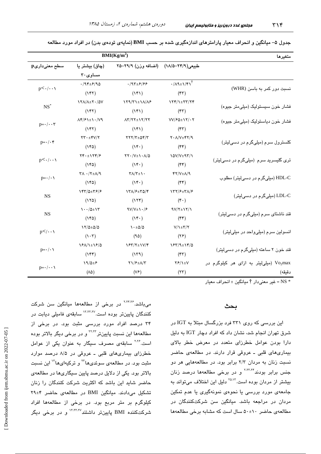| BMI(Kg/m <sup>2</sup> )          |                                                          |                                                                |                                           | متغيرها                                 |
|----------------------------------|----------------------------------------------------------|----------------------------------------------------------------|-------------------------------------------|-----------------------------------------|
| سطح معنیداریp                    | (چاق) بیشتر یا                                           | (اضافه وزن) ۲۹/۹–۲۵                                            | طبیعی(۲۴/۹–۱۸/۵)                          |                                         |
|                                  | مساوى ٣٠                                                 |                                                                |                                           |                                         |
| $p<\cdot/\cdot\cdot\cdot$        | $\cdot$ /94±۶/90                                         | $.797 + 572$                                                   | $\cdot/\Lambda$ ۹ $\pm$ ۱/۴۱ <sup>†</sup> |                                         |
|                                  | $(Y^{\ast}Y)$                                            | $(Y^{\ast})$                                                   | $(\mathbf{r}\mathbf{r})$                  | نسبت دور کمر به باسن (WHR)              |
| $NS^*$                           | 171/1±7./0V                                              | $YYYY^{\pm}YA/X^{\epsilon}$                                    | $\frac{1}{\sqrt{2}}$                      |                                         |
|                                  | $(Y^{\ast}Y)$                                            | $(Y^{\ast})$                                                   | $(\tau\tau)$                              | فشار خون سیستولیک (میلی متر جیوه)       |
|                                  | $\Lambda f/F\lambda \pm \lambda \cdot /V9$               | $\Lambda$ Y/YY $\pm$ 1Y/YY                                     | $VV/F\Delta \pm VY/\cdot Y$               | فشار خون دياستوليک (ميلي متر جيوه)      |
| $p = \cdot / \cdot \cdot \tau$   | $(Y^{\ast}Y)$                                            | $(Y^{\ast})$                                                   | $(\mathbf{r}\mathbf{r})$                  |                                         |
| $p = \cdot / \cdot \mathfrak{r}$ | $\tau\tau\cdot\pm\tau\vee/\tau$                          | $YYY/\Upsilon \pm \Delta \Upsilon/\Upsilon$                    | $Y \cdot \Lambda/V \pm Y Y / 9$           |                                         |
|                                  | $(Y^{\epsilon} \omega)$                                  | $(Y^{\epsilon})$                                               | $(\mathfrak{f}\mathfrak{f})$              | کلسترول سرم (میلیگرم در دسیلیتر)        |
|                                  | $\Upsilon f \cdot \pm \Upsilon f / 2$                    | $\Upsilon\Upsilon\cdot/\Upsilon\pm\Upsilon\cdot\Lambda/\Delta$ | $10V/V+17/1$                              |                                         |
| $p<\cdot/\cdot\cdot\cdot$        | $(Y^{\epsilon} \omega)$                                  | $(Y^{\epsilon})$                                               | $(\ast \ast)$                             | تری گلیسرید سرم (میلیگرم در دسیلیتر)    |
| $p=\cdot/\cdot \cdot$            | $\Upsilon \wedge \cdot / \Upsilon \pm \Lambda / \Lambda$ | $\Upsilon\Lambda/\Upsilon \pm 1$ .                             | $YY/V \pm \Lambda$                        | HDL-C (میلیگرم در دسیلیتر) مطلوب        |
|                                  | $(Y^{\epsilon} \omega)$                                  | $(Y^{\epsilon})$                                               | $(\ast \ast)$                             |                                         |
| <b>NS</b>                        | 145/0±58/8                                               | 151/۶±٣۵/۴                                                     | 137/۶±٣٨/۶                                |                                         |
|                                  | (150)                                                    | (15)                                                           | $(\mathbf{r} \cdot)$                      | LDL-C (میلیگرم در دسیلیتر)              |
|                                  | $1 - 20 \pm 17$                                          | $9V/V_{\pm}$ $\cdot$ / $\epsilon$                              | $9V/\Upsilon \pm 1V/\Upsilon$             |                                         |
| <b>NS</b>                        | $(Y^{\epsilon} \omega)$                                  | $(Y^{\epsilon})$                                               | $(\mathfrak{k}\mathfrak{k})$              | قند ناشتای سرم (میلیگرم در دسیلیتر)     |
|                                  | $\frac{17}{20}$                                          | $\cdot$ ±۵/۵                                                   | $V/\1$ + $Y/\gamma$                       | انسولین سرم (میلی واحد در میلی لیتر)    |
| $p$                              | $(1 \cdot \tau)$                                         | (90)                                                           | (YF)                                      |                                         |
| $p = \cdot / \cdot \setminus$    | 1811±18/0                                                | $YY/Y_{\pm}YY$                                                 | 18512±14/0                                |                                         |
|                                  | $(Y^{\epsilon})$                                         | (159)                                                          | $(\mathfrak{k}\mathfrak{r})$              | قند خون ۲ ساعته (میلیگرم در دسیلیتر)    |
| $p = \cdot / \cdot \cdot \cdot$  | $19/0 \pm 5$                                             | $Y1/F+A/Y$                                                     | $Y$ $Y$ $Y$                               | Vo2max (میلی لیتر به ازای هر کیلوگرم در |
|                                  | $(\wedge \varphi)$                                       | (VF)                                                           | (YY)                                      | دقيقه)                                  |

جدول ۵– میانگین و انحراف معیار پارامترهای اندازهگیری شده بر حسب BMI (نمایهی تودهی بدن) در افراد مورد مطالعه

خير معنىدار † ميانگين ± انحراف معيار = NS \*

#### بحث

این بررسی که روی ۳۳۱ فرد بزرگسال مبتلا به IGT در شرق تهران انجام شد، نشان داد که افراد دچار IGT به دلیل دارا بودن عوامل خطرزای متعدد در معرض خطر بالای بیماریهای قلبی ـ عروقی قرار دارند. در مطالعهی حاضر نسبت زنان به مردان ٢/٣ برابر بود. در مطالعههایی هر دو جنس برابر بودند<sup>۲،۳۰،۲۴</sup> و در برخی مطالعهها درصد زنان بیشتر از مردان بوده است.<sup>۲۵،۱۲</sup> دلیل این اختلاف میتواند به جامعهی مورد بررسی یا نحوهی نمونهگیری یا عدم تمکین مردان در مراجعه باشد. میانگین سن شرکتکنندگان در مطالعهى حاضر ٤٠±٥٠ سال است كه مشابه برخى مطالعهها

میباشد.<sup>۲٬۲۴٬۲۶</sup> در برخی از مطالعهها میانگین سن شرکت کنندگان پایینتر بوده است<sup>۱۲٬۲۲٬۲۷</sup> سابقهی فامیلی دیابت در ۳۴ درصد افراد مورد بررسی مثبت بود. در برخی از مطالعهها این نسبت پایینتر<sup>۲۲،۲۲</sup> و در برخ*ی* دیگر بالاتر بوده است.<sup>۲٬۲۶</sup> سابقهی مصرف سیگار به عنوان یکی از عوامل خطرزای بیماریهای قلبی ـ عروقی در ۸/۵ درصد موارد مثبت بود. در مطالعهی سوئدیها<sup>۲۲</sup> و ترکیهایها<sup>۱۳</sup> این نسبت بالاتر بود. یکی از دلایل درصد پایین سیگاریها در مطالعهی حاضر شاید این باشد که اکثریت شرکت کنندگان را زنان تشکیل می دادند. میانگین BMI در مطالعهی حاضر ۲۹±۲۹ کیلوگرم بر متر مربع بود. در برخی از مطالعهها افراد شرکتکننده BMI پایینتر داشتند<sup>۱۲،۲۲،۲۷</sup> و در برخی دیگر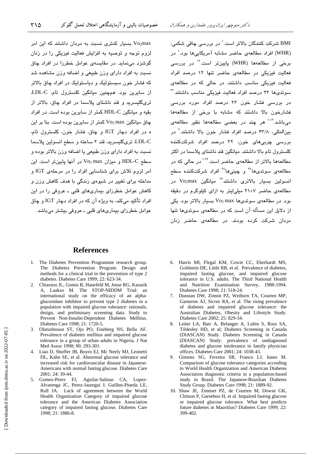بسیار کمتری نسبت به مردان داشتند که این امر  $\rm Vozmax$ لزوم توجه و توصیه به افزایش فعالیت فیزیکی را در زنان گوشزد مینماید. در مقایسهی عوامل خطرزا در افراد چاق نسبت به افراد دارای وزن طبیعی و اضافه وزن مشاهده شد که فشار خون سیستولیک و دیاستولیک در افراد چاق بالاتر از سایرین بود. همچنین میانگین کلسترول تام، LDL-C، تریکلیسرید و قند ناشتای پلاسما در افراد چاق، بالاتر از بقیه و میانگین HDL-C کمتر از سایرین بوده است. در افراد  $\omega$ چاق میانگین Vo $_2$ max کمتر از سایرین بوده است. بنا بر این ه در افراد دچار IGT و چاق، فشار خون، کلسترول تام، LDL-C، ترىگليسىريد، قند ۲ ساعته و سطح انسولين پلاسما نسبت به افراد دارای وزن طبیعی یا اضافه وزن بالاتر بوده و سطح HDL-C و میزان Vo2 max در آنها پایینتر است. این امر لزوم تلاش برای شناسایی افراد را در مرحلهی IGT و مداخله برای تغییر در شیوهی زندگی با هدف کاهش وزن و کاهش عوامل خطرزای بیماریهای قلبی ـ عروقی را در این افراد تأکید میکند، به ویژه آن که در افراد دچار IGT و چاق عوامل خطرزای بیماریهای قلبی ـ عروقی بیشتر میباشد.

BMI شرکت کنندگان بالاتر است.<sup>\</sup> در بررسی چاقی شک*می*، (WHR) افراد مطالعهی حاضر مشابه آمریکام ها نوید<sup>۰</sup> در برخی از مطالعهها (WHR) پایینتر است.<sup>۱۳</sup> در بررسی فعالیت فیزیکی در مطالعهی حاضر تنها ۱۲ درصد افراد فعالیت فیزیکی مناسب داشتند، در حالی که در مطالعهی سوئدیها ۲۳ درصد افراد فعالیت فیزیکی مناسب داشتند.<sup>۳۲</sup> در بررسی فشار خون ۲۶ درصد افراد مورد بررسی فشارخون بالا داشتند كه مشابه با برخى از مطالعهها میباشد.<sup>۱۰۱۳</sup> هر چند در بعضی مطالعهها نظیر مطالعهی بینالمللی، ۴۳/۸ درصد افراد فشار خون بالا داشتند.<sup>۲</sup> در بررسی چربیهای خون، ۳۲ درصد افراد شرکتکننده كلسترول تام بالا داشتند. ميانكين قند ناشتاى پلاسما در اكتر مطالعهها بالاتر از مطالعهی حاضر است.<sup>۱٬۲۴</sup> در حالی که در مطالعهی سوئدیها<sup>۲۲</sup> و چینیها<sup>۲۷</sup> افراد شرکتکننده سطح انسولین بسیار بالاتری داشتند<sup>۲۲</sup> میانگین Vo<sub>2</sub>max در مطالعهی حاضر ۲۷±۲ میلی لیتر به ازای کیلوگرم در دقیقه  $\log$  0 . در مطالعه $_2$  سوئدیها Vo2 max سیار بالاتر بود. یکی از دلایل این مساله ان است که در مطالعهی سوئدی<mark>ها تنها</mark> مردان شرکت کرده بودند. در مطالعهی حاضر زنان

#### **References**

- 1. The Diabetes Prevention Programme research group. The Diabetes Prevention Program. Design and methods for a clinical trial in the prevention of type 2 diabetes. Diabetes Care 1999; 22: 623-34.
- 2. Chiasson JL, Gomis R, Hanefeld M, Josse RG, Karasik A, Laakso M. The STOP-NIDDM Trial: an international study on the efficacy of an alphaglucosidase inhibitor to prevent type 2 diabetes in a population with impaired glucose tolerance: rationale, design, and preliminary screening data. Study to Prevent Non-Insulin-Dependent Diabetes Mellitus. Diabetes Care 1998; 21: 1720-5.
- 3. Olatunbosun ST, Ojo PO, Fineberg NS, Bella AF. Prevalence of diabetes mellitus and impaired glucose tolerance in a group of urban adults in Nigeria. J Nat Med Assoc 1998; 90: 293-301.
- 4. Liao D, Shoffer JB, Boyro EJ, Mc Neely MJ, Leonetti DL, Kahn SE, et al. Abnormal glucose tolerance and increased risk for cardiovascular disease in Japanese-Americans with normal fasting glucose. Diabetes Care 2001; 24: 39-44.
- 5. Gomez-Perez FJ, Aguilar-Salinas CA, Lopez-Alvarenga JC, Perez-Jauregui J, Guillen-Pineda LE, Rull JA. Lack of agreement between the World Health Organization Category of impaired glucose tolerance and the American Diabetes Association category of impaired fasting glucose. Diabetes Care 1998; 21: 1886-8.
- 6. Harris MI, Flegal KM, Cowie CC, Eberhardt MS, Goldstein DE, Little RR, et al. Prevalence of diabetes, impaired fasting glucose, and impaired glucose tolerance in U.S. adults. The Third National Health and Nutrition Examination Survey, 1988-1994. Diabetes Care 1998; 21: 518-24.
- 7. Dunstan DW, Zimnit PZ, Weiborn TA, Courten MP, Gameron AJ, Sicree RA, et al. The rising prevalence of diabetes and impaired glucose tolerance: the Australian Diabetes, Obesity and Lifestyle Study. Diabetes Care 2002; 25: 829-34.
- Leiter LA, Barr A, Belanger A, Lubin S, Ross SA, Tildesley HD, et al; Diabetes Screening in Canada (DIASCAN) Study. Diabetes Screening in Canada (DIASCAN) Study: prevalence of undiagnosed diabetes and glucose intolerance in family physician offices. Diabetes Care 2001; 24: 1038-43.
- 9. Gimeno SG, Ferreira SR, Franco LJ, Iunes M. Comparison of glucose tolerance categories according to World Health Organization and American Diabetes Association diagnostic criteria in a population-based study in Brazil. The Japanese-Brazilian Diabetes Study Group. Diabetes Care 1998; 21: 1889-92.
- 10. Shaw JE, Zimmet PZ, de Courten M, Dowse GK, Chitson P, Gareeboo H, et al. Impaired fasting glucose or impaired glucose tolerance. What best predicts future diabetes in Mauritius? Diabetes Care 1999; 22: 399-402.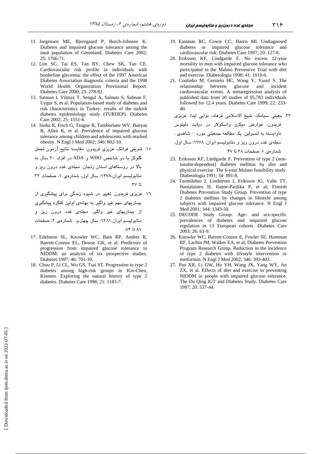- 11. Jorgensen ME, Bjeregaard P, Borch-Johnsen K. Diabetes and impaired glucose tolerance among the inuit population of Greenland. Diabetes Care 2002; 25: 1766-71.
- 12. Lim SC, Tai ES, Tan BY, Chew SK, Tan CE. Cardiovascular risk profile in individuals with borderline glycemia: the effect of the 1997 American Diabetes Association diagnostic criteria and the 1998 World Health Organization Provisional Report. Diabetes Care 2000; 23: 278-82.
- 13. Satman I, Yilmaz T, Sengul A, Salman S, Salman F, Uygur S, et al. Population-based study of diabetes and risk characteristics in Turkey: results of the turkish diabetes epidemiology study (TURDEP). Diabetes Care 2002; 25: 1551-6.
- 14. Sinha R, Fisch G, Teague B, Tamborlane WV, Banyas B, Allen K, et al. Prevalence of impaired glucose tolerance among children and adolescents with marked obesity. N Engl J Med 2002; 346: 802-10.

۱۵. شریفی فرانک، عزیزی فریدون. مقایسه نتایج آزمون تحمل

گلوکز با دو شاخص WHO و ADA در افراد ۳۰ سال به

بالا در روستا*ه*ای استان زنجان. مجلهی غدد درون ریز و

متابولیسم ایران،۱۳۷۸؛ سال اول، شمارهی ۱، صفحات ۳۲ .\*7

- ۱٦. عزیزی فریدون. تغییر در شیوه زندگی برای پیشکیری از بیماریهای مهم غیر واگیر به بهانهی اولین کنگره پیشگیری از بیماریها*ی* غیر واگیر. مجلهی غدد درون ریز و متابوليسم ايران،١٣٨١؛ سال چهارم، شمارهى ٢، صفحات  $\Lambda$ ۴ تا $\Lambda$ ۱
- 17. Edelstein SL, Knowler WC, Bain RP, Andres R, Barrett-Connor EL, Dowse GK, et al. Predictors of progression from impaired glucose tolerance to NIDDM: an analysis of six prospective studies. Diabetes 1997; 46: 701-10.
- 18. Chou P, Li CL, Wu GS, Tsai ST. Progression to type 2 diabetes among high-risk groups in Kin-Chen, Kinmen. Exploring the natural history of type 2 diabetes. Diabetes Care 1998; 21: 1183-7.
- 19. Eastman RC, Cowie CC, Harris MI. Undiagnosed diabetes or impaired glucose tolerance and cardiovascular risk. Diabetes Care 1997; 20: 127-8.
- 20. Eriksson KF, Lindgarde F. No excess 12-year mortality in men with impaired glucose tolerance who participated in the Malmo Preventive Trial with diet and exercise. Diabetologia 1998; 41: 1010-6.
- 21. Coutinho M, Gerstein HC, Wang Y, Yusuf S. The relationship between glucose and incident cardiovascular events. A metaregression analysis of published data from 20 studies of 95,783 individuals followed for 12.4 years. Diabetes Care 1999; 22: 233- 40.

```
۲۲. معینی سیامک، شیخ الاسلامی فرهاد، نوایی لیدا، عزیزی
فریدون. عوارض میکرو واسکولار در دیابت ملیتوس
```
ناوابسته به انسولین. یک مطالعه جمعیتی مورد – شاهدی .

مجلهی غدد درون ریز و متابولیسم ایران، ۱۳۷۸؛ سال اول،

 $fV$  شمار دی  $\wedge$  صفحات ۳۸ تا ۴۷.

- 23. Eriksson KF, Lindgarde F. Prevention of type 2 (noninsulin-dependent) diabetes mellitus by diet and physical exercise. The 6-year Malmo feasibility study. Diabetologia 1991; 34: 891-8.
- 24. Tuomilehto J, Lindstrom J, Eriksson JG, Valle TT, Hamalainen H, Ilanne-Parikka P, et al; Finnish Diabetes Prevention Study Group. Prevention of type 2 diabetes mellitus by changes in lifestyle among subjects with impaired glucose tolerance. N Engl J Med 2001; 344: 1343-50.
- 25. DECODE Study Group. Age- and sex-specific prevalences of diabetes and impaired glucose regulation in 13 European cohorts. Diabetes Care 2003; 26: 61-9.
- 26. Knowler WC, Barrett-Connor E, Fowler SE, Hamman RF, Lachin JM, Walker EA, et al; Diabetes Prevention Program Research Group. Reduction in the incidence of type 2 diabetes with lifestyle intervention or metformin. N Engl J Med 2002; 346: 393-403.
- 27. Pan XR, Li GW, Hu YH, Wang JX, Yang WY, An ZX, et al. Effects of diet and exercise in preventing NIDDM in people with impaired glucose tolerance. The Da Qing IGT and Diabetes Study. Diabetes Care 1997; 20: 537-44.